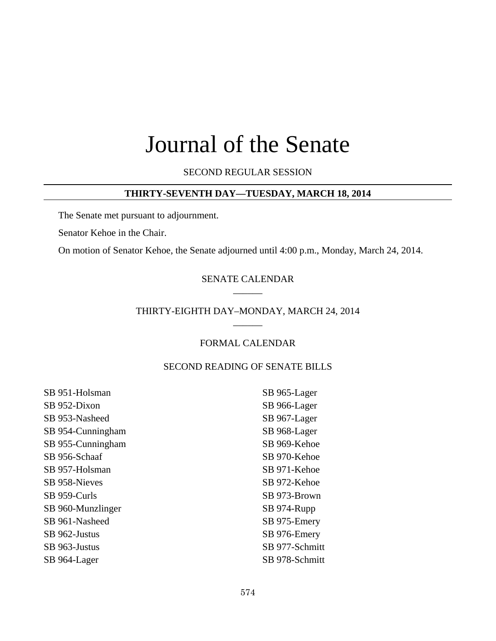# Journal of the Senate

SECOND REGULAR SESSION

# **THIRTY-SEVENTH DAY—TUESDAY, MARCH 18, 2014**

The Senate met pursuant to adjournment.

Senator Kehoe in the Chair.

On motion of Senator Kehoe, the Senate adjourned until 4:00 p.m., Monday, March 24, 2014.

### SENATE CALENDAR  $\overline{\phantom{a}}$

### THIRTY-EIGHTH DAY–MONDAY, MARCH 24, 2014  $\overline{\phantom{a}}$

# FORMAL CALENDAR

# SECOND READING OF SENATE BILLS

| SB 951-Holsman    | SB 965-Lager   |
|-------------------|----------------|
| SB 952-Dixon      | SB 966-Lager   |
| SB 953-Nasheed    | SB 967-Lager   |
| SB 954-Cunningham | SB 968-Lager   |
| SB 955-Cunningham | SB 969-Kehoe   |
| SB 956-Schaaf     | SB 970-Kehoe   |
| SB 957-Holsman    | SB 971-Kehoe   |
| SB 958-Nieves     | SB 972-Kehoe   |
| SB 959-Curls      | SB 973-Brown   |
| SB 960-Munzlinger | SB 974-Rupp    |
| SB 961-Nasheed    | SB 975-Emery   |
| SB 962-Justus     | SB 976-Emery   |
| SB 963-Justus     | SB 977-Schmitt |
| SB 964-Lager      | SB 978-Schmitt |
|                   |                |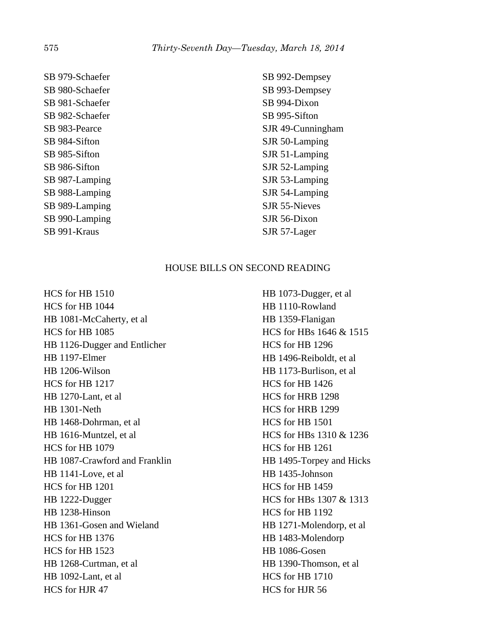SB 979-Schaefer SB 980-Schaefer SB 981-Schaefer SB 982-Schaefer SB 983-Pearce SB 984-Sifton SB 985-Sifton SB 986-Sifton SB 987-Lamping SB 988-Lamping SB 989-Lamping SB 990-Lamping SB 991-Kraus

SB 992-Dempsey SB 993-Dempsey SB 994-Dixon SB 995-Sifton SJR 49-Cunningham SJR 50-Lamping SJR 51-Lamping SJR 52-Lamping SJR 53-Lamping SJR 54-Lamping SJR 55-Nieves SJR 56-Dixon SJR 57-Lager

# HOUSE BILLS ON SECOND READING

HCS for HB 1510 HCS for HB 1044 HB 1081-McCaherty, et al HCS for HB 1085 HB 1126-Dugger and Entlicher HB 1197-Elmer HB 1206-Wilson HCS for HB 1217 HB 1270-Lant, et al HB 1301-Neth HB 1468-Dohrman, et al HB 1616-Muntzel, et al HCS for HB 1079 HB 1087-Crawford and Franklin HB 1141-Love, et al HCS for HB 1201 HB 1222-Dugger HB 1238-Hinson HB 1361-Gosen and Wieland HCS for HB 1376 HCS for HB 1523 HB 1268-Curtman, et al HB 1092-Lant, et al HCS for HJR 47

HB 1073-Dugger, et al HB 1110-Rowland HB 1359-Flanigan HCS for HBs 1646 & 1515 HCS for HB 1296 HB 1496-Reiboldt, et al HB 1173-Burlison, et al HCS for HB 1426 HCS for HRB 1298 HCS for HRB 1299 HCS for HB 1501 HCS for HBs 1310 & 1236 HCS for HB 1261 HB 1495-Torpey and Hicks HB 1435-Johnson HCS for HB 1459 HCS for HBs 1307 & 1313 HCS for HB 1192 HB 1271-Molendorp, et al HB 1483-Molendorp HB 1086-Gosen HB 1390-Thomson, et al HCS for HB 1710 HCS for HJR 56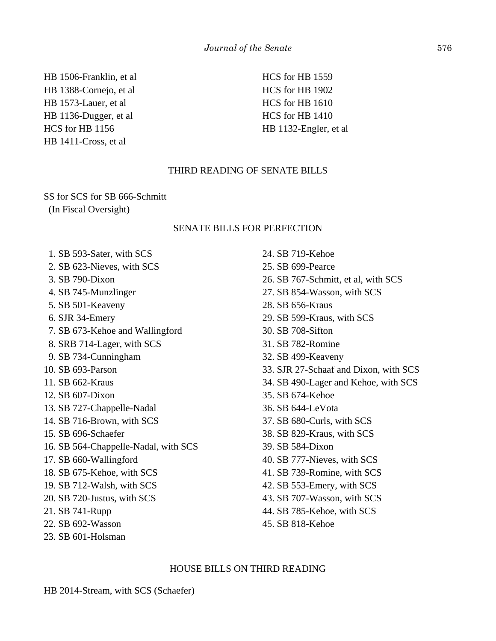HB 1506-Franklin, et al HB 1388-Cornejo, et al HB 1573-Lauer, et al HB 1136-Dugger, et al HCS for HB 1156 HB 1411-Cross, et al

HCS for HB 1559 HCS for HB 1902 HCS for HB 1610 HCS for HB 1410 HB 1132-Engler, et al

# THIRD READING OF SENATE BILLS

SS for SCS for SB 666-Schmitt (In Fiscal Oversight)

## SENATE BILLS FOR PERFECTION

- 1. SB 593-Sater, with SCS
- 2. SB 623-Nieves, with SCS
- 3. SB 790-Dixon
- 4. SB 745-Munzlinger
- 5. SB 501-Keaveny
- 6. SJR 34-Emery
- 7. SB 673-Kehoe and Wallingford
- 8. SRB 714-Lager, with SCS
- 9. SB 734-Cunningham
- 10. SB 693-Parson
- 11. SB 662-Kraus
- 12. SB 607-Dixon
- 13. SB 727-Chappelle-Nadal
- 14. SB 716-Brown, with SCS
- 15. SB 696-Schaefer
- 16. SB 564-Chappelle-Nadal, with SCS
- 17. SB 660-Wallingford
- 18. SB 675-Kehoe, with SCS
- 19. SB 712-Walsh, with SCS
- 20. SB 720-Justus, with SCS
- 21. SB 741-Rupp
- 22. SB 692-Wasson
- 23. SB 601-Holsman
- 24. SB 719-Kehoe 25. SB 699-Pearce 26. SB 767-Schmitt, et al, with SCS 27. SB 854-Wasson, with SCS 28. SB 656-Kraus 29. SB 599-Kraus, with SCS 30. SB 708-Sifton 31. SB 782-Romine 32. SB 499-Keaveny 33. SJR 27-Schaaf and Dixon, with SCS 34. SB 490-Lager and Kehoe, with SCS 35. SB 674-Kehoe 36. SB 644-LeVota 37. SB 680-Curls, with SCS 38. SB 829-Kraus, with SCS 39. SB 584-Dixon 40. SB 777-Nieves, with SCS 41. SB 739-Romine, with SCS 42. SB 553-Emery, with SCS 43. SB 707-Wasson, with SCS 44. SB 785-Kehoe, with SCS
- 45. SB 818-Kehoe

#### HOUSE BILLS ON THIRD READING